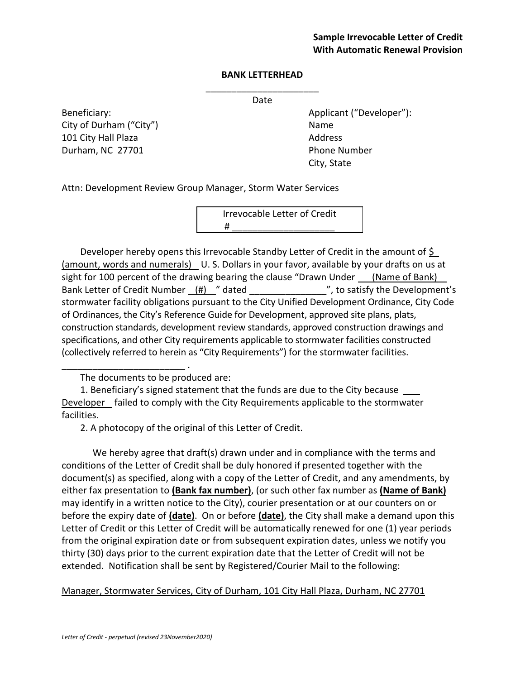## **BANK LETTERHEAD**

\_\_\_\_\_\_\_\_\_\_\_\_\_\_\_\_\_\_\_\_\_\_ Date

City of Durham ("City") Name 101 City Hall Plaza **Address** Address Durham, NC 27701 Phone Number

Beneficiary: Beneficiary: Applicant ("Developer"): City, State

Attn: Development Review Group Manager, Storm Water Services

Irrevocable Letter of Credit # \_\_\_\_\_\_\_\_\_\_\_\_\_\_\_\_\_\_\_\_\_\_\_\_\_\_\_\_\_\_\_\_

Developer hereby opens this Irrevocable Standby Letter of Credit in the amount of  $\frac{1}{2}$ (amount, words and numerals) U. S. Dollars in your favor, available by your drafts on us at sight for 100 percent of the drawing bearing the clause "Drawn Under (Name of Bank) Bank Letter of Credit Number  $(H)$  " dated \_\_\_\_\_\_\_\_\_\_\_\_\_", to satisfy the Development's stormwater facility obligations pursuant to the City Unified Development Ordinance, City Code of Ordinances, the City's Reference Guide for Development, approved site plans, plats, construction standards, development review standards, approved construction drawings and specifications, and other City requirements applicable to stormwater facilities constructed (collectively referred to herein as "City Requirements") for the stormwater facilities.

The documents to be produced are:

\_\_\_\_\_\_\_\_\_\_\_\_\_\_\_\_\_\_\_\_\_\_\_\_ .

1. Beneficiary's signed statement that the funds are due to the City because  $\qquad$ Developer failed to comply with the City Requirements applicable to the stormwater facilities.

2. A photocopy of the original of this Letter of Credit.

We hereby agree that draft(s) drawn under and in compliance with the terms and conditions of the Letter of Credit shall be duly honored if presented together with the document(s) as specified, along with a copy of the Letter of Credit, and any amendments, by either fax presentation to **(Bank fax number)**, (or such other fax number as **(Name of Bank)** may identify in a written notice to the City), courier presentation or at our counters on or before the expiry date of **(date)**. On or before **(date)**, the City shall make a demand upon this Letter of Credit or this Letter of Credit will be automatically renewed for one (1) year periods from the original expiration date or from subsequent expiration dates, unless we notify you thirty (30) days prior to the current expiration date that the Letter of Credit will not be extended. Notification shall be sent by Registered/Courier Mail to the following:

Manager, Stormwater Services, City of Durham, 101 City Hall Plaza, Durham, NC 27701